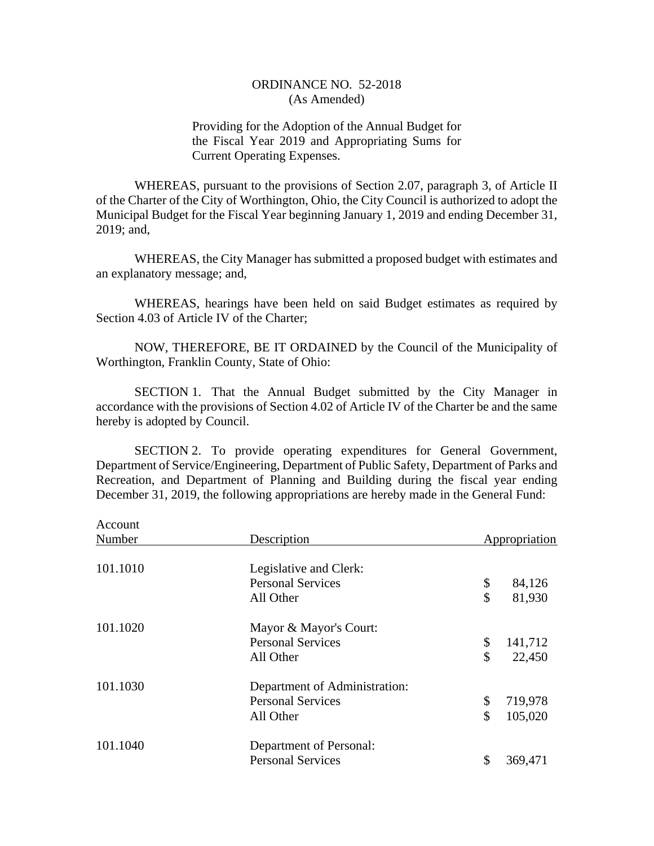Providing for the Adoption of the Annual Budget for the Fiscal Year 2019 and Appropriating Sums for Current Operating Expenses.

WHEREAS, pursuant to the provisions of Section 2.07, paragraph 3, of Article II of the Charter of the City of Worthington, Ohio, the City Council is authorized to adopt the Municipal Budget for the Fiscal Year beginning January 1, 2019 and ending December 31, 2019; and,

WHEREAS, the City Manager has submitted a proposed budget with estimates and an explanatory message; and,

WHEREAS, hearings have been held on said Budget estimates as required by Section 4.03 of Article IV of the Charter;

NOW, THEREFORE, BE IT ORDAINED by the Council of the Municipality of Worthington, Franklin County, State of Ohio:

SECTION 1. That the Annual Budget submitted by the City Manager in accordance with the provisions of Section 4.02 of Article IV of the Charter be and the same hereby is adopted by Council.

SECTION 2. To provide operating expenditures for General Government, Department of Service/Engineering, Department of Public Safety, Department of Parks and Recreation, and Department of Planning and Building during the fiscal year ending December 31, 2019, the following appropriations are hereby made in the General Fund:

Account

| Account  |                               |               |
|----------|-------------------------------|---------------|
| Number   | Description                   | Appropriation |
|          |                               |               |
| 101.1010 | Legislative and Clerk:        |               |
|          | <b>Personal Services</b>      | \$<br>84,126  |
|          | All Other                     | \$<br>81,930  |
| 101.1020 | Mayor & Mayor's Court:        |               |
|          | <b>Personal Services</b>      | \$<br>141,712 |
|          | All Other                     | \$<br>22,450  |
| 101.1030 | Department of Administration: |               |
|          | <b>Personal Services</b>      | \$<br>719,978 |
|          | All Other                     | \$<br>105,020 |
| 101.1040 | Department of Personal:       |               |
|          | <b>Personal Services</b>      | \$<br>369,471 |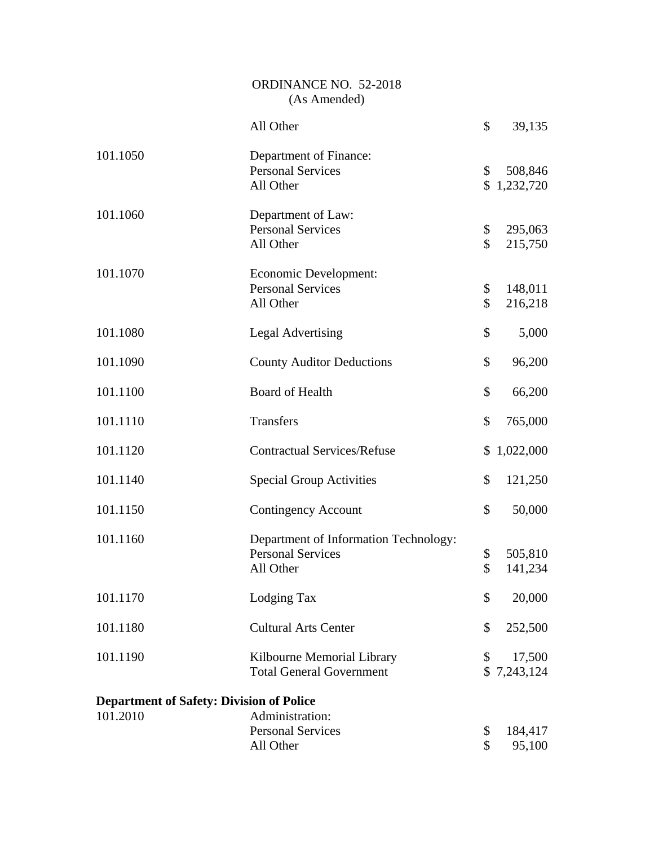|                                                 | ORDINANCE NO. 52-2018<br>(As Amended)                                          |                     |                        |
|-------------------------------------------------|--------------------------------------------------------------------------------|---------------------|------------------------|
|                                                 | All Other                                                                      | \$                  | 39,135                 |
| 101.1050                                        | Department of Finance:<br><b>Personal Services</b><br>All Other                | \$                  | 508,846<br>\$1,232,720 |
| 101.1060                                        | Department of Law:<br><b>Personal Services</b><br>All Other                    | \$<br>$\mathcal{S}$ | 295,063<br>215,750     |
| 101.1070                                        | Economic Development:<br><b>Personal Services</b><br>All Other                 | \$<br>\$            | 148,011<br>216,218     |
| 101.1080                                        | <b>Legal Advertising</b>                                                       | \$                  | 5,000                  |
| 101.1090                                        | <b>County Auditor Deductions</b>                                               | \$                  | 96,200                 |
| 101.1100                                        | <b>Board of Health</b>                                                         | \$                  | 66,200                 |
| 101.1110                                        | Transfers                                                                      | \$                  | 765,000                |
| 101.1120                                        | <b>Contractual Services/Refuse</b>                                             | \$                  | 1,022,000              |
| 101.1140                                        | <b>Special Group Activities</b>                                                | \$                  | 121,250                |
| 101.1150                                        | <b>Contingency Account</b>                                                     | \$                  | 50,000                 |
| 101.1160                                        | Department of Information Technology:<br><b>Personal Services</b><br>All Other | \$<br>\$            | 505,810<br>141,234     |
| 101.1170                                        | Lodging Tax                                                                    | \$                  | 20,000                 |
| 101.1180                                        | <b>Cultural Arts Center</b>                                                    | \$                  | 252,500                |
| 101.1190                                        | Kilbourne Memorial Library<br><b>Total General Government</b>                  | \$                  | 17,500<br>\$7,243,124  |
| <b>Department of Safety: Division of Police</b> |                                                                                |                     |                        |
| 101.2010                                        | Administration:<br><b>Personal Services</b><br>All Other                       | \$<br>\$            | 184,417<br>95,100      |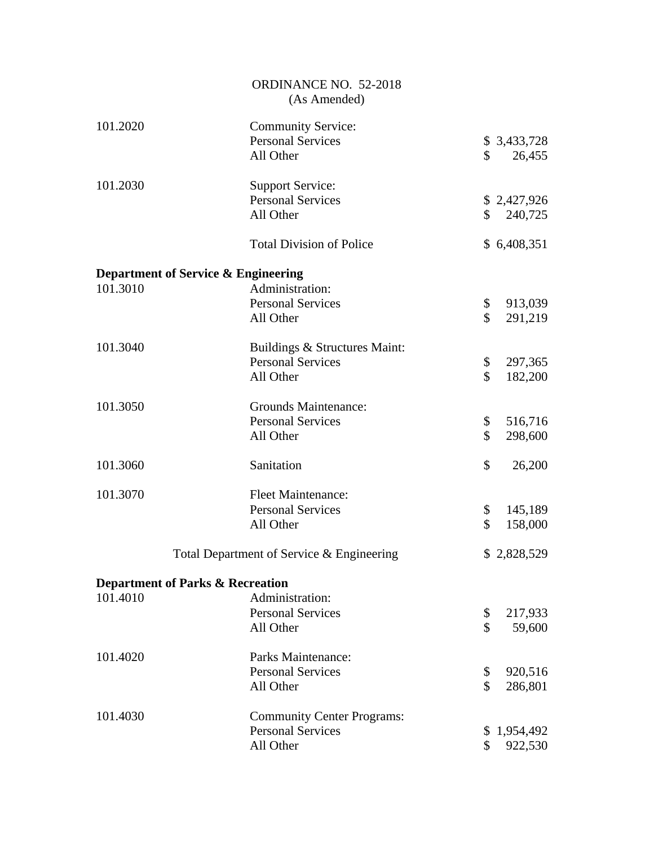|                                                | ORDINANCE NO. 52-2018<br>(As Amended)                              |                                        |
|------------------------------------------------|--------------------------------------------------------------------|----------------------------------------|
| 101.2020                                       | <b>Community Service:</b><br><b>Personal Services</b><br>All Other | \$<br>\$3,433,728<br>26,455            |
| 101.2030                                       | <b>Support Service:</b><br><b>Personal Services</b><br>All Other   | \$2,427,926<br>$\mathbb{S}$<br>240,725 |
|                                                | <b>Total Division of Police</b>                                    | \$6,408,351                            |
| <b>Department of Service &amp; Engineering</b> |                                                                    |                                        |
| 101.3010                                       | Administration:                                                    |                                        |
|                                                | <b>Personal Services</b>                                           | \$<br>913,039                          |
|                                                | All Other                                                          | \$<br>291,219                          |
| 101.3040                                       | Buildings & Structures Maint:                                      |                                        |
|                                                | <b>Personal Services</b>                                           | \$<br>297,365                          |
|                                                | All Other                                                          | \$<br>182,200                          |
| 101.3050                                       | Grounds Maintenance:                                               |                                        |
|                                                | <b>Personal Services</b>                                           | \$<br>516,716                          |
|                                                | All Other                                                          | \$<br>298,600                          |
| 101.3060                                       | Sanitation                                                         | \$<br>26,200                           |
| 101.3070                                       | <b>Fleet Maintenance:</b>                                          |                                        |
|                                                | <b>Personal Services</b>                                           | \$<br>145,189                          |
|                                                | All Other                                                          | \$<br>158,000                          |
|                                                | Total Department of Service & Engineering                          | \$2,828,529                            |
| <b>Department of Parks &amp; Recreation</b>    |                                                                    |                                        |
| 101.4010                                       | Administration:                                                    |                                        |
|                                                | <b>Personal Services</b>                                           | \$<br>217,933                          |
|                                                | All Other                                                          | \$<br>59,600                           |
| 101.4020                                       | Parks Maintenance:                                                 |                                        |
|                                                | <b>Personal Services</b>                                           | \$<br>920,516                          |
|                                                | All Other                                                          | \$<br>286,801                          |
| 101.4030                                       | <b>Community Center Programs:</b>                                  |                                        |
|                                                | <b>Personal Services</b>                                           | \$<br>1,954,492                        |
|                                                | All Other                                                          | \$<br>922,530                          |
|                                                |                                                                    |                                        |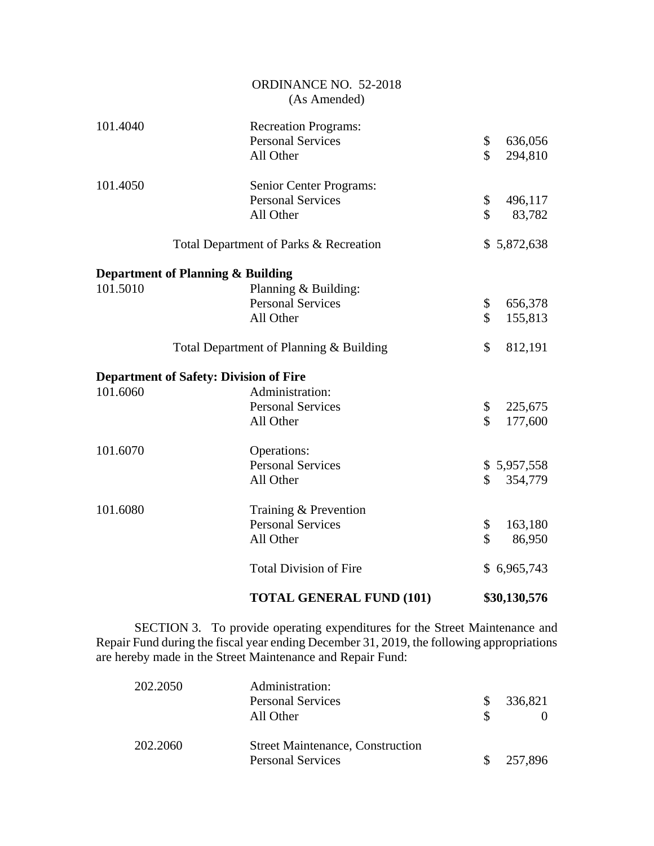|          | <b>TOTAL GENERAL FUND (101)</b>                                  | \$30,130,576                   |
|----------|------------------------------------------------------------------|--------------------------------|
|          | <b>Total Division of Fire</b>                                    | \$6,965,743                    |
| 101.6080 | Training & Prevention<br><b>Personal Services</b><br>All Other   | \$<br>163,180<br>\$<br>86,950  |
|          | All Other                                                        | $\mathbb{S}^-$<br>354,779      |
| 101.6070 | Operations:<br><b>Personal Services</b>                          | \$5,957,558                    |
|          | <b>Personal Services</b><br>All Other                            | \$<br>225,675<br>\$<br>177,600 |
| 101.6060 | <b>Department of Safety: Division of Fire</b><br>Administration: |                                |
|          | Total Department of Planning & Building                          | \$<br>812,191                  |
| 101.5010 | Planning & Building:<br><b>Personal Services</b><br>All Other    | \$<br>656,378<br>\$<br>155,813 |
|          | Department of Planning & Building                                |                                |
|          | Total Department of Parks & Recreation                           | \$5,872,638                    |
|          | Senior Center Programs:<br><b>Personal Services</b><br>All Other | \$<br>496,117<br>\$<br>83,782  |
| 101.4050 | All Other                                                        | \$<br>294,810                  |
| 101.4040 | <b>Recreation Programs:</b><br><b>Personal Services</b>          | \$<br>636,056                  |
|          | ORDINANCE NO. 52-2018<br>(As Amended)                            |                                |

SECTION 3. To provide operating expenditures for the Street Maintenance and Repair Fund during the fiscal year ending December 31, 2019, the following appropriations are hereby made in the Street Maintenance and Repair Fund:

| 202.2050 | Administration:<br><b>Personal Services</b><br>All Other            | 336,821 |
|----------|---------------------------------------------------------------------|---------|
| 202.2060 | <b>Street Maintenance, Construction</b><br><b>Personal Services</b> | 257,896 |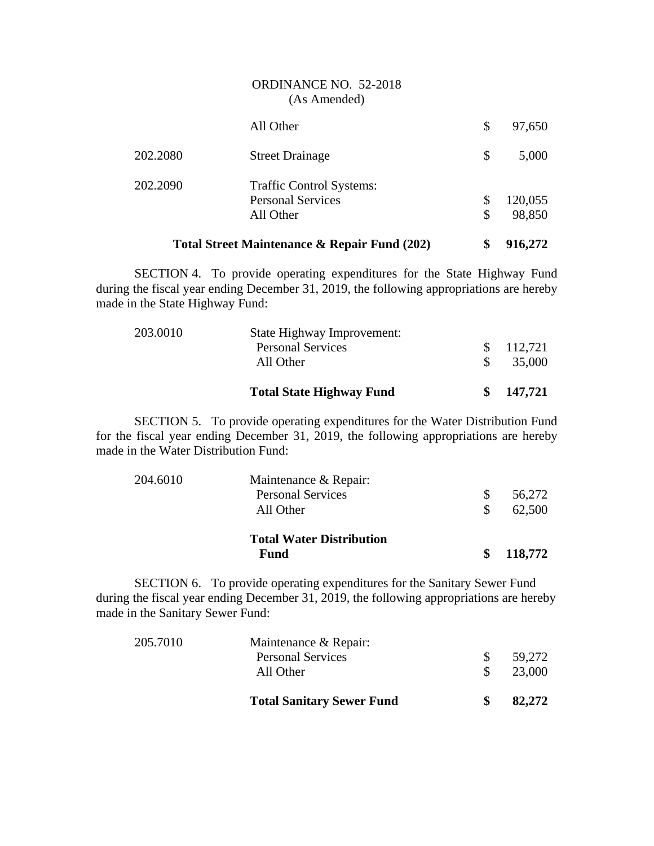|          | Total Street Maintenance & Repair Fund (202) | \$<br>916,272 |
|----------|----------------------------------------------|---------------|
|          | All Other                                    | \$<br>98,850  |
|          | <b>Personal Services</b>                     | \$<br>120,055 |
| 202.2090 | <b>Traffic Control Systems:</b>              |               |
| 202.2080 | <b>Street Drainage</b>                       | \$<br>5,000   |
|          | All Other                                    | \$<br>97,650  |
|          | ORDINANCE NO. 52-2018<br>(As Amended)        |               |

SECTION 4. To provide operating expenditures for the State Highway Fund during the fiscal year ending December 31, 2019, the following appropriations are hereby made in the State Highway Fund:

|          | <b>Total State Highway Fund</b>       | 147,721           |
|----------|---------------------------------------|-------------------|
|          | <b>Personal Services</b><br>All Other | 112,721<br>35,000 |
| 203.0010 | State Highway Improvement:            |                   |

SECTION 5. To provide operating expenditures for the Water Distribution Fund for the fiscal year ending December 31, 2019, the following appropriations are hereby made in the Water Distribution Fund:

|          | <b>Total Water Distribution</b><br>Fund | 118,772 |
|----------|-----------------------------------------|---------|
|          | All Other                               | 62,500  |
|          | <b>Personal Services</b>                | 56,272  |
| 204.6010 | Maintenance & Repair:                   |         |

SECTION 6. To provide operating expenditures for the Sanitary Sewer Fund during the fiscal year ending December 31, 2019, the following appropriations are hereby made in the Sanitary Sewer Fund:

|          | <b>Total Sanitary Sewer Fund</b>      | 82,272           |
|----------|---------------------------------------|------------------|
|          | <b>Personal Services</b><br>All Other | 59.272<br>23,000 |
| 205.7010 | Maintenance & Repair:                 |                  |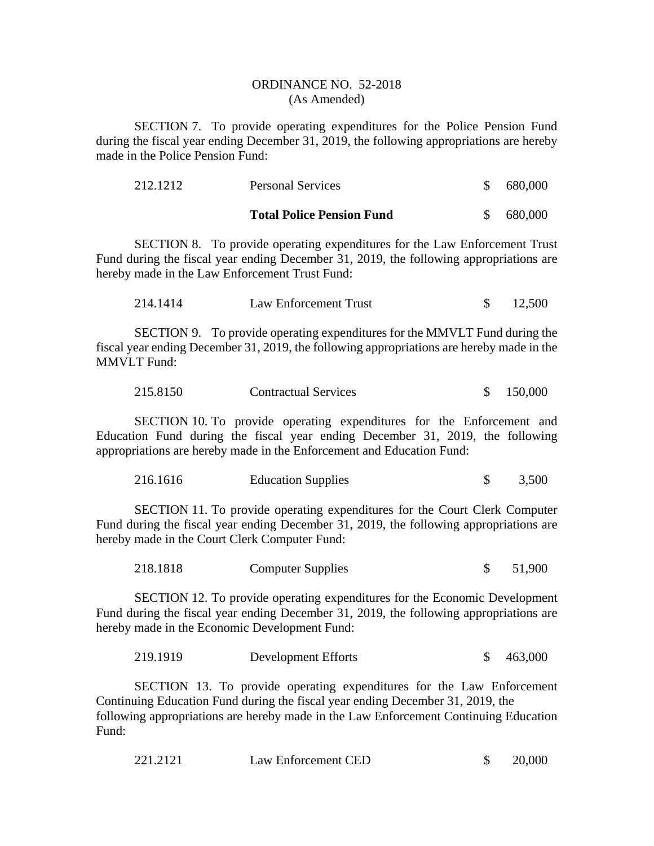SECTION 7. To provide operating expenditures for the Police Pension Fund during the fiscal year ending December 31, 2019, the following appropriations are hereby made in the Police Pension Fund:

| 212.1212 | <b>Personal Services</b>         |    | 680,000 |
|----------|----------------------------------|----|---------|
|          | <b>Total Police Pension Fund</b> | S. | 680,000 |

SECTION 8. To provide operating expenditures for the Law Enforcement Trust Fund during the fiscal year ending December 31, 2019, the following appropriations are hereby made in the Law Enforcement Trust Fund:

| 214.1414 | Law Enforcement Trust |  | 12,500 |
|----------|-----------------------|--|--------|
|----------|-----------------------|--|--------|

SECTION 9. To provide operating expenditures for the MMVLT Fund during the fiscal year ending December 31, 2019, the following appropriations are hereby made in the MMVLT Fund:

| 215.8150<br><b>Contractual Services</b> | \$150,000 |  |
|-----------------------------------------|-----------|--|
|-----------------------------------------|-----------|--|

SECTION 10. To provide operating expenditures for the Enforcement and Education Fund during the fiscal year ending December 31, 2019, the following appropriations are hereby made in the Enforcement and Education Fund:

| 216.1616 | <b>Education Supplies</b> |  | 3,500 |
|----------|---------------------------|--|-------|
|----------|---------------------------|--|-------|

SECTION 11. To provide operating expenditures for the Court Clerk Computer Fund during the fiscal year ending December 31, 2019, the following appropriations are hereby made in the Court Clerk Computer Fund:

| 218.1818 | <b>Computer Supplies</b> | 51,900 |
|----------|--------------------------|--------|
|----------|--------------------------|--------|

SECTION 12. To provide operating expenditures for the Economic Development Fund during the fiscal year ending December 31, 2019, the following appropriations are hereby made in the Economic Development Fund:

219.1919 Development Efforts \$ 463,000

SECTION 13. To provide operating expenditures for the Law Enforcement Continuing Education Fund during the fiscal year ending December 31, 2019, the following appropriations are hereby made in the Law Enforcement Continuing Education Fund:

| 221.2121 | Law Enforcement CED |  | 20,000 |
|----------|---------------------|--|--------|
|----------|---------------------|--|--------|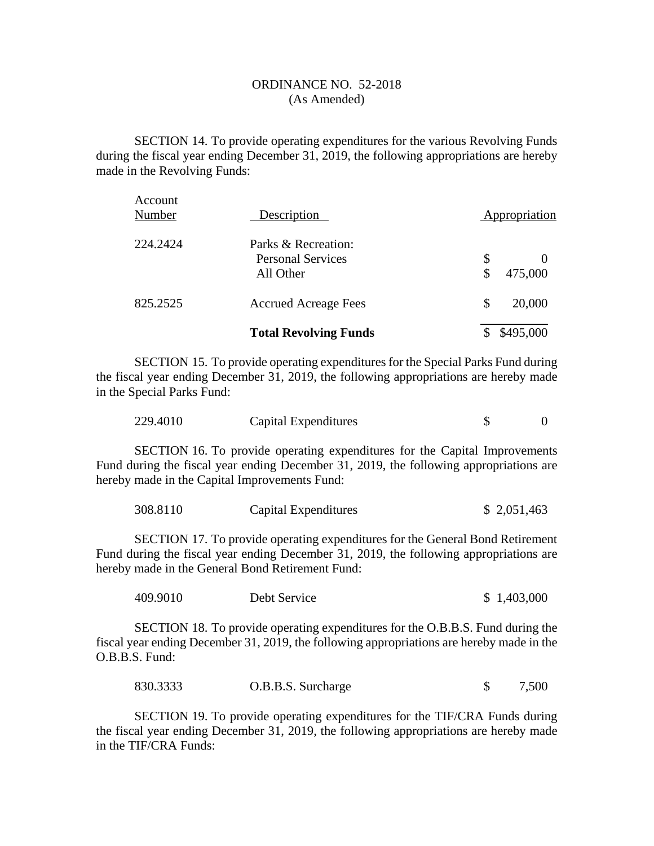SECTION 14. To provide operating expenditures for the various Revolving Funds during the fiscal year ending December 31, 2019, the following appropriations are hereby made in the Revolving Funds:

|                   | <b>Total Revolving Funds</b>          | \$495,000                       |
|-------------------|---------------------------------------|---------------------------------|
| 825.2525          | <b>Accrued Acreage Fees</b>           | \$<br>20,000                    |
|                   | <b>Personal Services</b><br>All Other | \$<br>$\theta$<br>\$<br>475,000 |
| 224.2424          | Parks & Recreation:                   |                                 |
| Account<br>Number | Description                           | Appropriation                   |

SECTION 15. To provide operating expenditures for the Special Parks Fund during the fiscal year ending December 31, 2019, the following appropriations are hereby made in the Special Parks Fund:

| 229.4010 | Capital Expenditures |  |
|----------|----------------------|--|
|----------|----------------------|--|

SECTION 16. To provide operating expenditures for the Capital Improvements Fund during the fiscal year ending December 31, 2019, the following appropriations are hereby made in the Capital Improvements Fund:

| 308.8110 | Capital Expenditures | \$2,051,463 |
|----------|----------------------|-------------|
|----------|----------------------|-------------|

SECTION 17. To provide operating expenditures for the General Bond Retirement Fund during the fiscal year ending December 31, 2019, the following appropriations are hereby made in the General Bond Retirement Fund:

| 409.9010<br>Debt Service | \$1,403,000 |
|--------------------------|-------------|
|--------------------------|-------------|

SECTION 18. To provide operating expenditures for the O.B.B.S. Fund during the fiscal year ending December 31, 2019, the following appropriations are hereby made in the O.B.B.S. Fund:

830.3333 O.B.B.S. Surcharge \$ 7,500

SECTION 19. To provide operating expenditures for the TIF/CRA Funds during the fiscal year ending December 31, 2019, the following appropriations are hereby made in the TIF/CRA Funds: